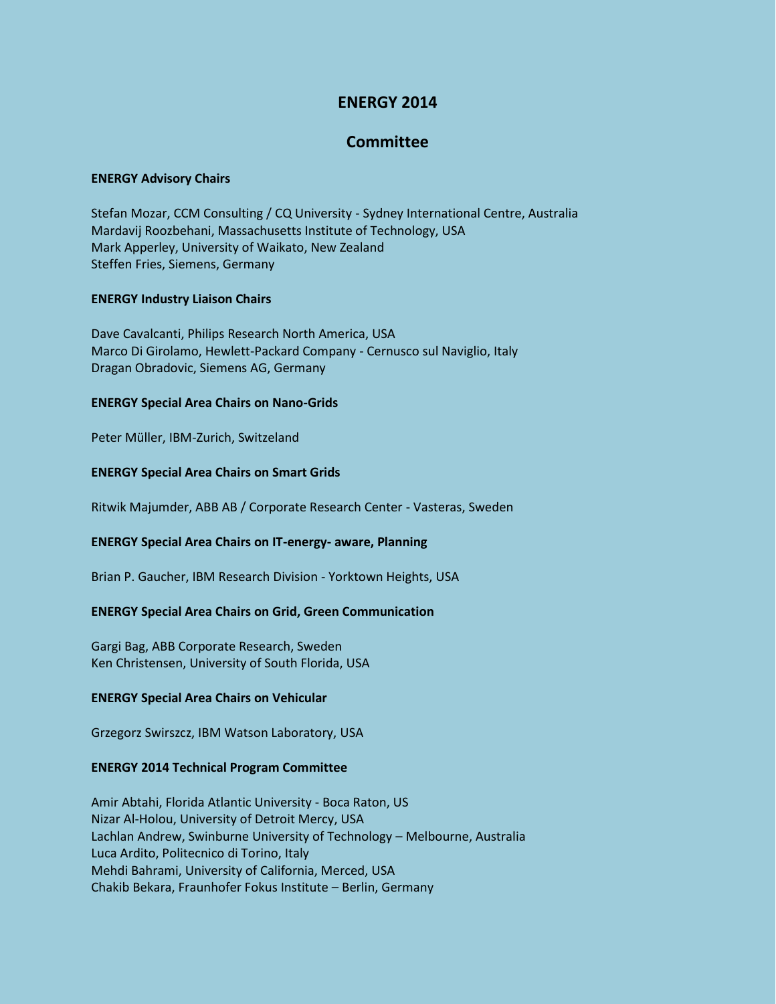# **ENERGY 2014**

# **Committee**

#### **ENERGY Advisory Chairs**

Stefan Mozar, CCM Consulting / CQ University - Sydney International Centre, Australia Mardavij Roozbehani, Massachusetts Institute of Technology, USA Mark Apperley, University of Waikato, New Zealand Steffen Fries, Siemens, Germany

## **ENERGY Industry Liaison Chairs**

Dave Cavalcanti, Philips Research North America, USA Marco Di Girolamo, Hewlett-Packard Company - Cernusco sul Naviglio, Italy Dragan Obradovic, Siemens AG, Germany

## **ENERGY Special Area Chairs on Nano-Grids**

Peter Müller, IBM-Zurich, Switzeland

## **ENERGY Special Area Chairs on Smart Grids**

Ritwik Majumder, ABB AB / Corporate Research Center - Vasteras, Sweden

# **ENERGY Special Area Chairs on IT-energy- aware, Planning**

Brian P. Gaucher, IBM Research Division - Yorktown Heights, USA

# **ENERGY Special Area Chairs on Grid, Green Communication**

Gargi Bag, ABB Corporate Research, Sweden Ken Christensen, University of South Florida, USA

#### **ENERGY Special Area Chairs on Vehicular**

Grzegorz Swirszcz, IBM Watson Laboratory, USA

#### **ENERGY 2014 Technical Program Committee**

Amir Abtahi, Florida Atlantic University - Boca Raton, US Nizar Al-Holou, University of Detroit Mercy, USA Lachlan Andrew, Swinburne University of Technology – Melbourne, Australia Luca Ardito, Politecnico di Torino, Italy Mehdi Bahrami, University of California, Merced, USA Chakib Bekara, Fraunhofer Fokus Institute – Berlin, Germany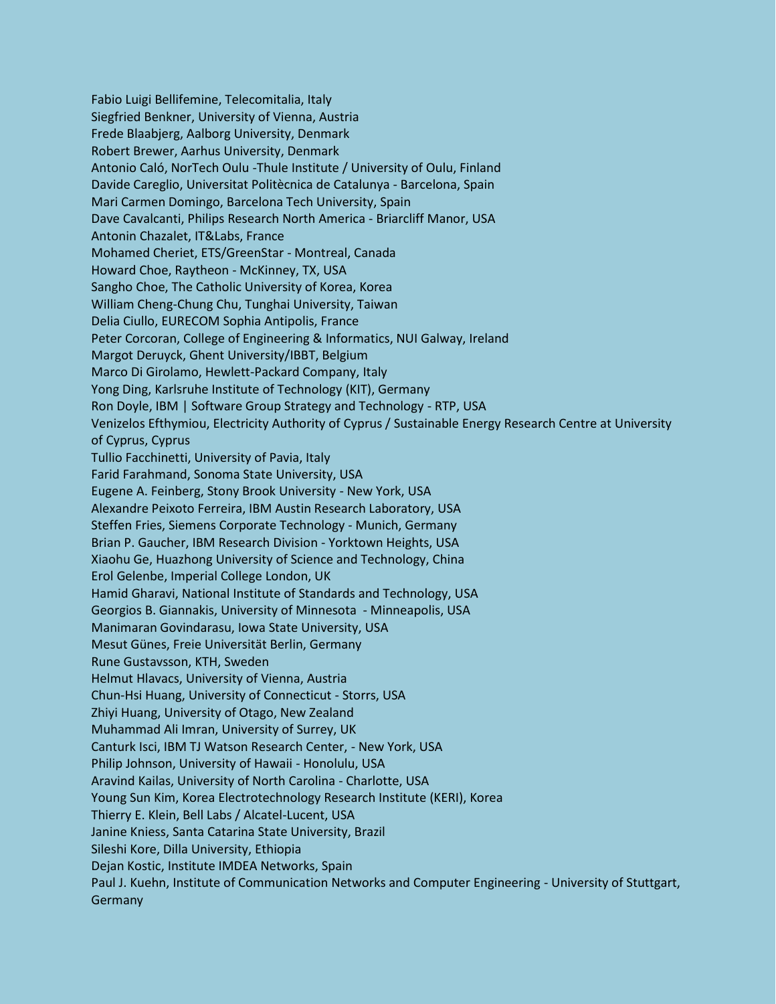Fabio Luigi Bellifemine, Telecomitalia, Italy Siegfried Benkner, University of Vienna, Austria Frede Blaabjerg, Aalborg University, Denmark Robert Brewer, Aarhus University, Denmark Antonio Caló, NorTech Oulu -Thule Institute / University of Oulu, Finland Davide Careglio, Universitat Politècnica de Catalunya - Barcelona, Spain Mari Carmen Domingo, Barcelona Tech University, Spain Dave Cavalcanti, Philips Research North America - Briarcliff Manor, USA Antonin Chazalet, IT&Labs, France Mohamed Cheriet, ETS/GreenStar - Montreal, Canada Howard Choe, Raytheon - McKinney, TX, USA Sangho Choe, The Catholic University of Korea, Korea William Cheng-Chung Chu, Tunghai University, Taiwan Delia Ciullo, EURECOM Sophia Antipolis, France Peter Corcoran, College of Engineering & Informatics, NUI Galway, Ireland Margot Deruyck, Ghent University/IBBT, Belgium Marco Di Girolamo, Hewlett-Packard Company, Italy Yong Ding, Karlsruhe Institute of Technology (KIT), Germany Ron Doyle, IBM | Software Group Strategy and Technology - RTP, USA Venizelos Efthymiou, Electricity Authority of Cyprus / Sustainable Energy Research Centre at University of Cyprus, Cyprus Tullio Facchinetti, University of Pavia, Italy Farid Farahmand, Sonoma State University, USA Eugene A. Feinberg, Stony Brook University - New York, USA Alexandre Peixoto Ferreira, IBM Austin Research Laboratory, USA Steffen Fries, Siemens Corporate Technology - Munich, Germany Brian P. Gaucher, IBM Research Division - Yorktown Heights, USA Xiaohu Ge, Huazhong University of Science and Technology, China Erol Gelenbe, Imperial College London, UK Hamid Gharavi, National Institute of Standards and Technology, USA Georgios B. Giannakis, University of Minnesota - Minneapolis, USA Manimaran Govindarasu, Iowa State University, USA Mesut Günes, Freie Universität Berlin, Germany Rune Gustavsson, KTH, Sweden Helmut Hlavacs, University of Vienna, Austria Chun-Hsi Huang, University of Connecticut - Storrs, USA Zhiyi Huang, University of Otago, New Zealand Muhammad Ali Imran, University of Surrey, UK Canturk Isci, IBM TJ Watson Research Center, - New York, USA Philip Johnson, University of Hawaii - Honolulu, USA Aravind Kailas, University of North Carolina - Charlotte, USA Young Sun Kim, Korea Electrotechnology Research Institute (KERI), Korea Thierry E. Klein, Bell Labs / Alcatel-Lucent, USA Janine Kniess, Santa Catarina State University, Brazil Sileshi Kore, Dilla University, Ethiopia Dejan Kostic, Institute IMDEA Networks, Spain Paul J. Kuehn, Institute of Communication Networks and Computer Engineering - University of Stuttgart, **Germany**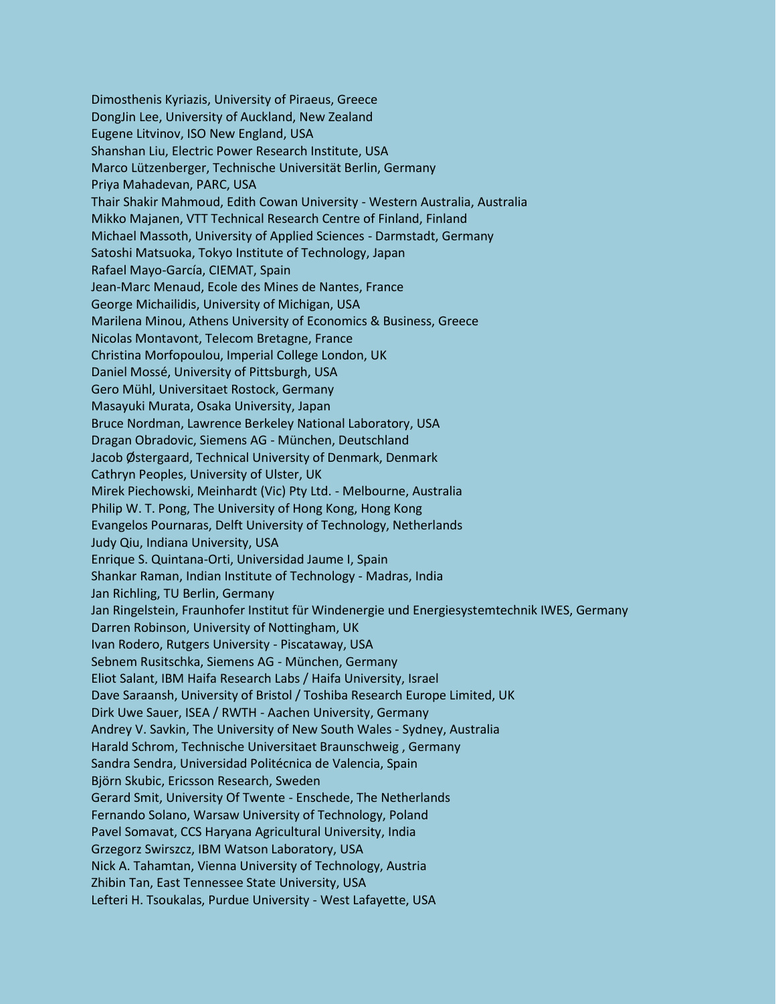Dimosthenis Kyriazis, University of Piraeus, Greece DongJin Lee, University of Auckland, New Zealand Eugene Litvinov, ISO New England, USA Shanshan Liu, Electric Power Research Institute, USA Marco Lützenberger, Technische Universität Berlin, Germany Priya Mahadevan, PARC, USA Thair Shakir Mahmoud, Edith Cowan University - Western Australia, Australia Mikko Majanen, VTT Technical Research Centre of Finland, Finland Michael Massoth, University of Applied Sciences - Darmstadt, Germany Satoshi Matsuoka, Tokyo Institute of Technology, Japan Rafael Mayo-García, CIEMAT, Spain Jean-Marc Menaud, Ecole des Mines de Nantes, France George Michailidis, University of Michigan, USA Marilena Minou, Athens University of Economics & Business, Greece Nicolas Montavont, Telecom Bretagne, France Christina Morfopoulou, Imperial College London, UK Daniel Mossé, University of Pittsburgh, USA Gero Mühl, Universitaet Rostock, Germany Masayuki Murata, Osaka University, Japan Bruce Nordman, Lawrence Berkeley National Laboratory, USA Dragan Obradovic, Siemens AG - München, Deutschland Jacob Østergaard, Technical University of Denmark, Denmark Cathryn Peoples, University of Ulster, UK Mirek Piechowski, Meinhardt (Vic) Pty Ltd. - Melbourne, Australia Philip W. T. Pong, The University of Hong Kong, Hong Kong Evangelos Pournaras, Delft University of Technology, Netherlands Judy Qiu, Indiana University, USA Enrique S. Quintana-Orti, Universidad Jaume I, Spain Shankar Raman, Indian Institute of Technology - Madras, India Jan Richling, TU Berlin, Germany Jan Ringelstein, Fraunhofer Institut für Windenergie und Energiesystemtechnik IWES, Germany Darren Robinson, University of Nottingham, UK Ivan Rodero, Rutgers University - Piscataway, USA Sebnem Rusitschka, Siemens AG - München, Germany Eliot Salant, IBM Haifa Research Labs / Haifa University, Israel Dave Saraansh, University of Bristol / Toshiba Research Europe Limited, UK Dirk Uwe Sauer, ISEA / RWTH - Aachen University, Germany Andrey V. Savkin, The University of New South Wales - Sydney, Australia Harald Schrom, Technische Universitaet Braunschweig , Germany Sandra Sendra, Universidad Politécnica de Valencia, Spain Björn Skubic, Ericsson Research, Sweden Gerard Smit, University Of Twente - Enschede, The Netherlands Fernando Solano, Warsaw University of Technology, Poland Pavel Somavat, CCS Haryana Agricultural University, India Grzegorz Swirszcz, IBM Watson Laboratory, USA Nick A. Tahamtan, Vienna University of Technology, Austria Zhibin Tan, East Tennessee State University, USA Lefteri H. Tsoukalas, Purdue University - West Lafayette, USA